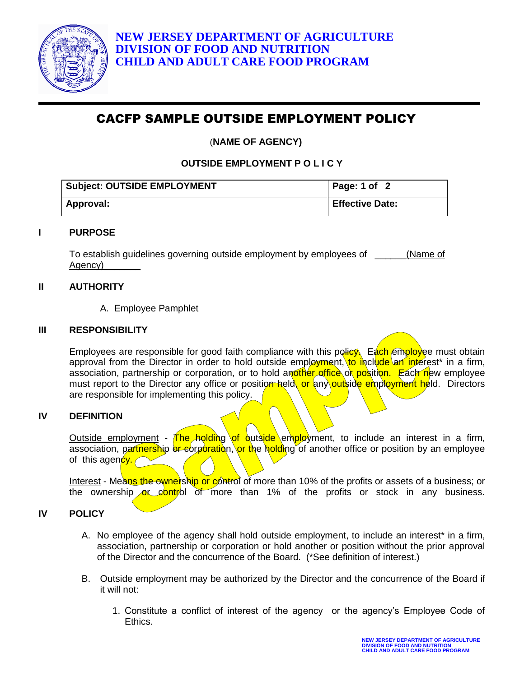

# CACFP SAMPLE OUTSIDE EMPLOYMENT POLICY

(**NAME OF AGENCY)**

**OUTSIDE EMPLOYMENT P O L I C Y**

| <b>Subject: OUTSIDE EMPLOYMENT</b> | Page: 1 of 2           |
|------------------------------------|------------------------|
| Approval:                          | <b>Effective Date:</b> |

## **I PURPOSE**

To establish guidelines governing outside employment by employees of \_\_\_\_\_\_(Name of Agency)

# **II AUTHORITY**

A. Employee Pamphlet

## **III RESPONSIBILITY**

Employees are responsible for good faith compliance with this policy. Each employee must obtain approval from the Director in order to hold outside employment, to include an interest<sup>\*</sup> in a firm, association, partnership or corporation, or to hold another office or position. Each new employee must report to the Director any office or position held, or any outside employment held. Directors are responsible for implementing this policy.

## **IV DEFINITION**

Outside employment - The holding of outside employment, to include an interest in a firm, association, partnership or corporation, or the holding of another office or position by an employee of this agency.

Interest - Means the ownership or control of more than 10% of the profits or assets of a business; or the ownership or control of more than 1% of the profits or stock in any business.

# **IV POLICY**

- A. No employee of the agency shall hold outside employment, to include an interest<sup>\*</sup> in a firm, association, partnership or corporation or hold another or position without the prior approval of the Director and the concurrence of the Board. (\*See definition of interest.)
- B. Outside employment may be authorized by the Director and the concurrence of the Board if it will not:
	- 1. Constitute a conflict of interest of the agency or the agency's Employee Code of Ethics.